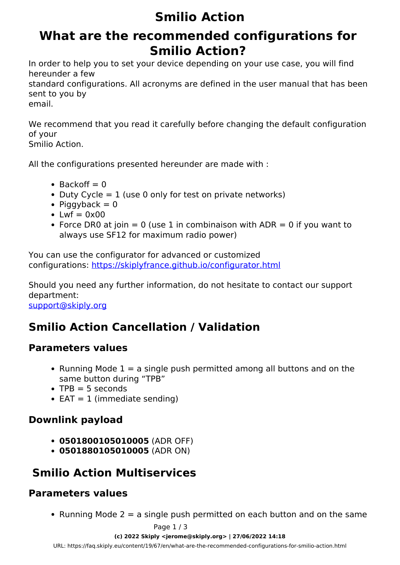# **Smilio Action**

## **What are the recommended configurations for Smilio Action?**

In order to help you to set your device depending on your use case, you will find hereunder a few

standard configurations. All acronyms are defined in the user manual that has been sent to you by email.

We recommend that you read it carefully before changing the default configuration of your

Smilio Action.

All the configurations presented hereunder are made with :

- $\bullet$  Backoff = 0
- Duty Cycle  $= 1$  (use 0 only for test on private networks)
- Piggyback  $= 0$
- $\bullet$  Lwf = 0x00
- Force DR0 at join  $= 0$  (use 1 in combinaison with ADR  $= 0$  if you want to always use SF12 for maximum radio power)

You can use the configurator for advanced or customized configurations:<https://skiplyfrance.github.io/configurator.html>

Should you need any further information, do not hesitate to contact our support department: [support@skiply.org](mailto:support@skiply.org)

### **Smilio Action Cancellation / Validation**

#### **Parameters values**

- Running Mode  $1 = a$  single push permitted among all buttons and on the same button during "TPB"
- $\bullet$  TPB = 5 seconds
- $\bullet$  EAT = 1 (immediate sending)

#### **Downlink payload**

- **0501800105010005** (ADR OFF)
- **0501880105010005** (ADR ON)

### **Smilio Action Multiservices**

#### **Parameters values**

• Running Mode  $2 = a$  single push permitted on each button and on the same

#### **(c) 2022 Skiply <jerome@skiply.org> | 27/06/2022 14:18**

[URL: https://faq.skiply.eu/content/19/67/en/what-are-the-recommended-configurations-for-smilio-action.html](https://faq.skiply.eu/content/19/67/en/what-are-the-recommended-configurations-for-smilio-action.html)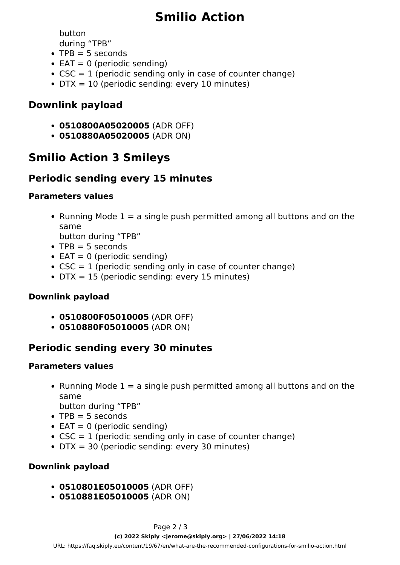# **Smilio Action**

button

during "TPB"

- $\bullet$  TPB = 5 seconds
- $\bullet$  EAT = 0 (periodic sending)
- $\bullet$  CSC = 1 (periodic sending only in case of counter change)
- $\bullet$  DTX = 10 (periodic sending: every 10 minutes)

#### **Downlink payload**

- **0510800A05020005** (ADR OFF)
- **0510880A05020005** (ADR ON)

### **Smilio Action 3 Smileys**

### **Periodic sending every 15 minutes**

#### **Parameters values**

• Running Mode  $1 = a$  single push permitted among all buttons and on the same

button during "TPB"

- $\bullet$  TPB = 5 seconds
- $\bullet$  EAT = 0 (periodic sending)
- $\bullet$  CSC = 1 (periodic sending only in case of counter change)
- $\bullet$  DTX = 15 (periodic sending: every 15 minutes)

#### **Downlink payload**

- **0510800F05010005** (ADR OFF)
- **0510880F05010005** (ADR ON)

### **Periodic sending every 30 minutes**

#### **Parameters values**

• Running Mode  $1 = a$  single push permitted among all buttons and on the same

button during "TPB"

- $\bullet$  TPB = 5 seconds
- $\bullet$  EAT = 0 (periodic sending)
- $\bullet$  CSC = 1 (periodic sending only in case of counter change)
- DTX = 30 (periodic sending: every 30 minutes)

#### **Downlink payload**

- **0510801E05010005** (ADR OFF)
- **0510881E05010005** (ADR ON)

[URL: https://faq.skiply.eu/content/19/67/en/what-are-the-recommended-configurations-for-smilio-action.html](https://faq.skiply.eu/content/19/67/en/what-are-the-recommended-configurations-for-smilio-action.html)